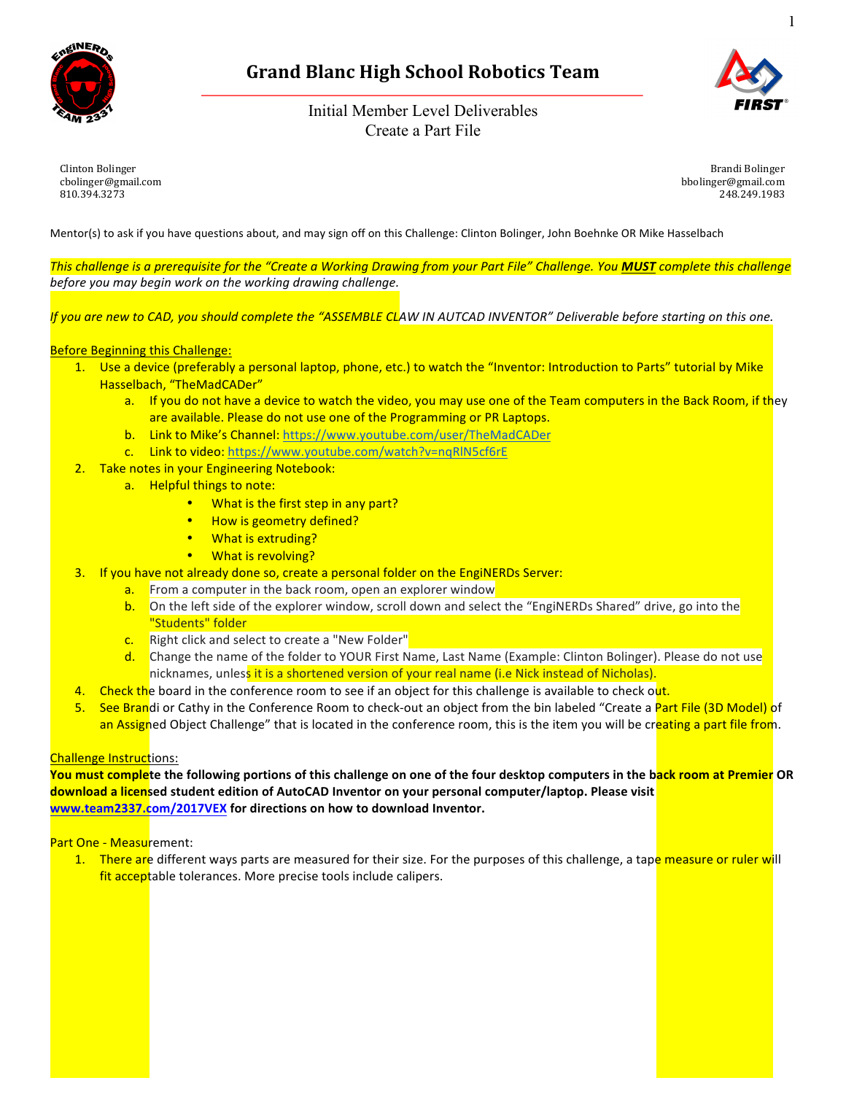

# **Grand Blanc High School Robotics Team**

Initial Member Level Deliverables Create a Part File



Clinton Bolinger cbolinger@gmail.com 810.394.3273

Brandi Bolinger bbolinger@gmail.com 248.249.1983

Mentor(s) to ask if you have questions about, and may sign off on this Challenge: Clinton Bolinger, John Boehnke OR Mike Hasselbach

This challenge is a prerequisite for the "Create a Working Drawing from your Part File" Challenge. You MUST complete this challenge before you may begin work on the working drawing challenge.

If you are new to CAD, you should complete the "ASSEMBLE CLAW IN AUTCAD INVENTOR" Deliverable before starting on this one.

### **Before Beginning this Challenge:**

- 1. Use a device (preferably a personal laptop, phone, etc.) to watch the "Inventor: Introduction to Parts" tutorial by Mike Hasselbach, "TheMadCADer"
	- a. If you do not have a device to watch the video, you may use one of the Team computers in the Back Room, if they are available. Please do not use one of the Programming or PR Laptops.
	- b. Link to Mike's Channel: https://www.youtube.com/user/TheMadCADer
	- c. Link to video: https://www.youtube.com/watch?v=nqRlN5cf6rE
- 2. Take notes in your Engineering Notebook:
	- a. Helpful things to note:
		- What is the first step in any part?
		- How is geometry defined?
		- **What is extruding?**
		- **What is revolving?**
- 3. If you have not already done so, create a personal folder on the EngiNERDs Server:
	- a. From a computer in the back room, open an explorer window
	- b. On the left side of the explorer window, scroll down and select the "EngiNERDs Shared" drive, go into the "Students" folder
	- c. Right click and select to create a "New Folder"
	- d. Change the name of the folder to YOUR First Name, Last Name (Example: Clinton Bolinger). Please do not use nicknames, unless it is a shortened version of your real name (i.e Nick instead of Nicholas).
- 4. Check the board in the conference room to see if an object for this challenge is available to check out.
- 5. See Brandi or Cathy in the Conference Room to check-out an object from the bin labeled "Create a Part File (3D Model) of an Assigned Object Challenge" that is located in the conference room, this is the item you will be creating a part file from.

### Challenge Instructions:

**You must comple**te the following portions of this challenge on one of the four desktop computers in the b<mark>ack room at Premier</mark> OR **download a licens**ed student edition of AutoCAD Inventor on your personal computer/laptop. Please visit **www.team2337.com/2017VEX for directions on how to download Inventor.** 

### Part One - Measurement:

1. There are different ways parts are measured for their size. For the purposes of this challenge, a tape measure or ruler will fit acceptable tolerances. More precise tools include calipers.